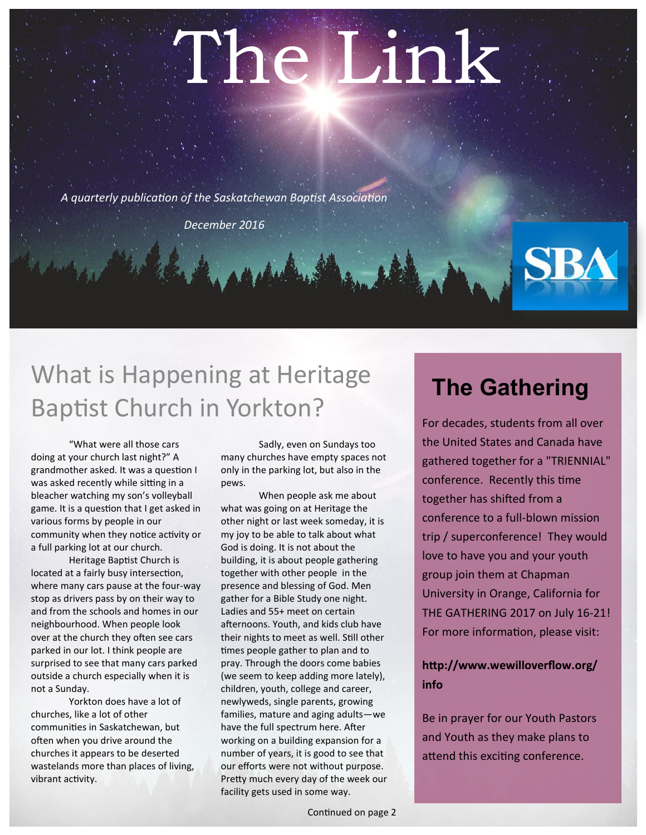# The Link

*A quarterly publication of the Saskatchewan Baptist Association*

*December 2016*

# What is Happening at Heritage Baptist Church in Yorkton?

"What were all those cars doing at your church last night?" A grandmother asked. It was a question I was asked recently while sitting in a bleacher watching my son's volleyball game. It is a question that I get asked in various forms by people in our community when they notice activity or a full parking lot at our church.

Heritage Baptist Church is located at a fairly busy intersection, where many cars pause at the four-way stop as drivers pass by on their way to and from the schools and homes in our neighbourhood. When people look over at the church they often see cars parked in our lot. I think people are surprised to see that many cars parked outside a church especially when it is not a Sunday.

Yorkton does have a lot of churches, like a lot of other communities in Saskatchewan, but often when you drive around the churches it appears to be deserted wastelands more than places of living, vibrant activity.

Sadly, even on Sundays too many churches have empty spaces not only in the parking lot, but also in the pews.

When people ask me about what was going on at Heritage the other night or last week someday, it is my joy to be able to talk about what God is doing. It is not about the building, it is about people gathering together with other people in the presence and blessing of God. Men gather for a Bible Study one night. Ladies and 55+ meet on certain afternoons. Youth, and kids club have their nights to meet as well. Still other times people gather to plan and to pray. Through the doors come babies (we seem to keep adding more lately), children, youth, college and career, newlyweds, single parents, growing families, mature and aging adults—we have the full spectrum here. After working on a building expansion for a number of years, it is good to see that our efforts were not without purpose. Pretty much every day of the week our facility gets used in some way.

### **The Gathering**

For decades, students from all over the United States and Canada have gathered together for a "TRIENNIAL" conference. Recently this time together has shifted from a conference to a full-blown mission trip / superconference! They would love to have you and your youth group join them at Chapman University in Orange, California for THE GATHERING 2017 on July 16-21! For more information, please visit:

#### **http://www.wewilloverflow.org/ info**

Be in prayer for our Youth Pastors and Youth as they make plans to attend this exciting conference.